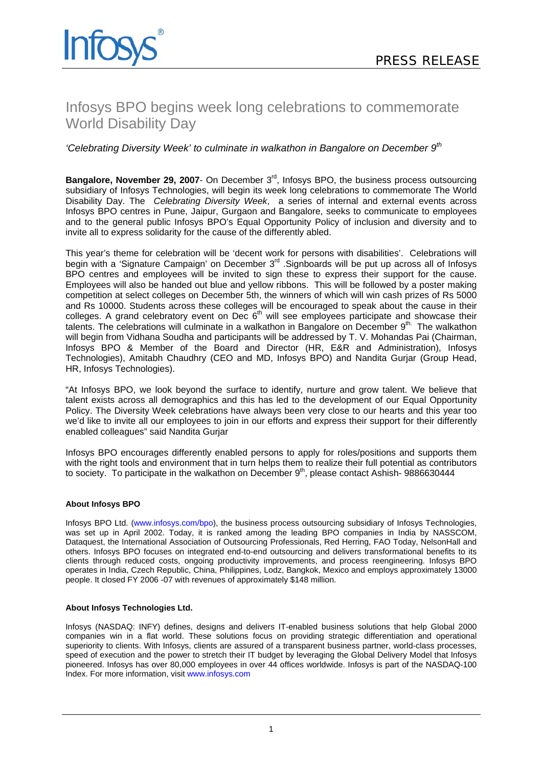

# Infosys BPO begins week long celebrations to commemorate World Disability Day

## *'Celebrating Diversity Week' to culminate in walkathon in Bangalore on December 9th*

**Bangalore, November 29, 2007-** On December 3<sup>rd</sup>, Infosys BPO, the business process outsourcing subsidiary of Infosys Technologies, will begin its week long celebrations to commemorate The World Disability Day. The *Celebrating Diversity Week*, a series of internal and external events across Infosys BPO centres in Pune, Jaipur, Gurgaon and Bangalore, seeks to communicate to employees and to the general public Infosys BPO's Equal Opportunity Policy of inclusion and diversity and to invite all to express solidarity for the cause of the differently abled.

This year's theme for celebration will be 'decent work for persons with disabilities'. Celebrations will begin with a 'Signature Campaign' on December 3<sup>rd</sup> .Signboards will be put up across all of Infosys BPO centres and employees will be invited to sign these to express their support for the cause. Employees will also be handed out blue and yellow ribbons. This will be followed by a poster making competition at select colleges on December 5th, the winners of which will win cash prizes of Rs 5000 and Rs 10000. Students across these colleges will be encouraged to speak about the cause in their colleges. A grand celebratory event on Dec  $6<sup>th</sup>$  will see employees participate and showcase their talents. The celebrations will culminate in a walkathon in Bangalore on December 9<sup>th.</sup> The walkathon will begin from Vidhana Soudha and participants will be addressed by T. V. Mohandas Pai (Chairman, Infosys BPO & Member of the Board and Director (HR, E&R and Administration), Infosys Technologies), Amitabh Chaudhry (CEO and MD, Infosys BPO) and Nandita Gurjar (Group Head, HR, Infosys Technologies).

"At Infosys BPO, we look beyond the surface to identify, nurture and grow talent. We believe that talent exists across all demographics and this has led to the development of our Equal Opportunity Policy. The Diversity Week celebrations have always been very close to our hearts and this year too we'd like to invite all our employees to join in our efforts and express their support for their differently enabled colleagues" said Nandita Gurjar

Infosys BPO encourages differently enabled persons to apply for roles/positions and supports them with the right tools and environment that in turn helps them to realize their full potential as contributors to society. To participate in the walkathon on December  $9<sup>th</sup>$ , please contact Ashish- 9886630444

#### **About Infosys BPO**

Infosys BPO Ltd. [\(www.infosys.com/bpo\)](http://www.infosys.com/bpo), the business process outsourcing subsidiary of Infosys Technologies, was set up in April 2002. Today, it is ranked among the leading BPO companies in India by NASSCOM, Dataquest, the International Association of Outsourcing Professionals, Red Herring, FAO Today, NelsonHall and others. Infosys BPO focuses on integrated end-to-end outsourcing and delivers transformational benefits to its clients through reduced costs, ongoing productivity improvements, and process reengineering. Infosys BPO operates in India, Czech Republic, China, Philippines, Lodz, Bangkok, Mexico and employs approximately 13000 people. It closed FY 2006 -07 with revenues of approximately \$148 million.

#### **About Infosys Technologies Ltd.**

Infosys (NASDAQ: INFY) defines, designs and delivers IT-enabled business solutions that help Global 2000 companies win in a flat world. These solutions focus on providing strategic differentiation and operational superiority to clients. With Infosys, clients are assured of a transparent business partner, world-class processes, speed of execution and the power to stretch their IT budget by leveraging the Global Delivery Model that Infosys pioneered. Infosys has over 80,000 employees in over 44 offices worldwide. Infosys is part of the NASDAQ-100 Index. For more information, visit [www.infosys.com](http://www.infosys.com/)